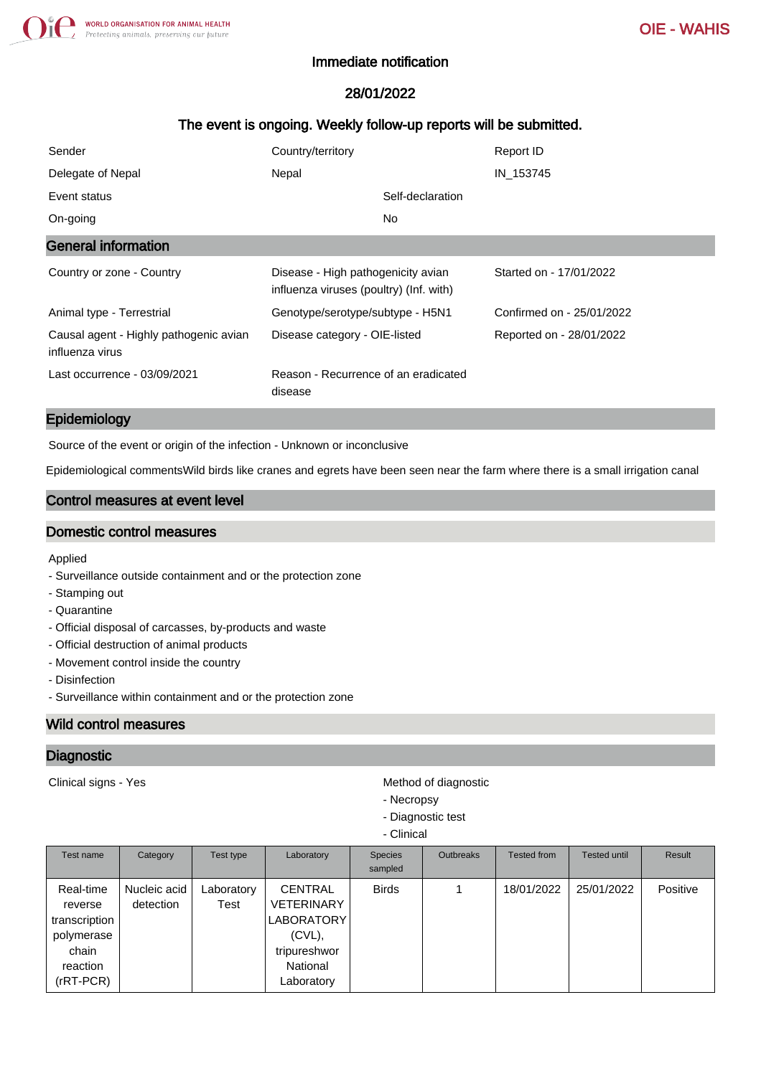## Immediate notification

## 28/01/2022

## The event is ongoing. Weekly follow-up reports will be submitted.

| Sender                                                    | Country/territory                                                             | Report ID                 |
|-----------------------------------------------------------|-------------------------------------------------------------------------------|---------------------------|
| Delegate of Nepal                                         | Nepal                                                                         | IN 153745                 |
| Event status                                              | Self-declaration                                                              |                           |
| On-going                                                  | No.                                                                           |                           |
| <b>General information</b>                                |                                                                               |                           |
| Country or zone - Country                                 | Disease - High pathogenicity avian<br>influenza viruses (poultry) (Inf. with) | Started on - 17/01/2022   |
| Animal type - Terrestrial                                 | Genotype/serotype/subtype - H5N1                                              | Confirmed on - 25/01/2022 |
| Causal agent - Highly pathogenic avian<br>influenza virus | Disease category - OIE-listed                                                 | Reported on - 28/01/2022  |
| Last occurrence - 03/09/2021                              | Reason - Recurrence of an eradicated<br>disease                               |                           |

#### Epidemiology

Source of the event or origin of the infection - Unknown or inconclusive

Epidemiological commentsWild birds like cranes and egrets have been seen near the farm where there is a small irrigation canal

## Control measures at event level

#### Domestic control measures

Applied

- Surveillance outside containment and or the protection zone
- Stamping out
- Quarantine
- Official disposal of carcasses, by-products and waste
- Official destruction of animal products
- Movement control inside the country
- Disinfection
- Surveillance within containment and or the protection zone

### Wild control measures

#### **Diagnostic**

Clinical signs - Yes **Method of diagnostic** Method of diagnostic

- Necropsy
- Diagnostic test

#### - Clinical

| Test name                                                                               | Category                  | Test type          | Laboratory                                                                                            | <b>Species</b><br>sampled | Outbreaks | <b>Tested from</b> | Tested until | Result   |
|-----------------------------------------------------------------------------------------|---------------------------|--------------------|-------------------------------------------------------------------------------------------------------|---------------------------|-----------|--------------------|--------------|----------|
| Real-time<br>reverse<br>transcription<br>polymerase<br>chain<br>reaction<br>$(rRT-PCR)$ | Nucleic acid<br>detection | Laboratory<br>Test | <b>CENTRAL</b><br><b>VETERINARY</b><br>LABORATORY<br>(CVL),<br>tripureshwor<br>National<br>Laboratory | <b>Birds</b>              |           | 18/01/2022         | 25/01/2022   | Positive |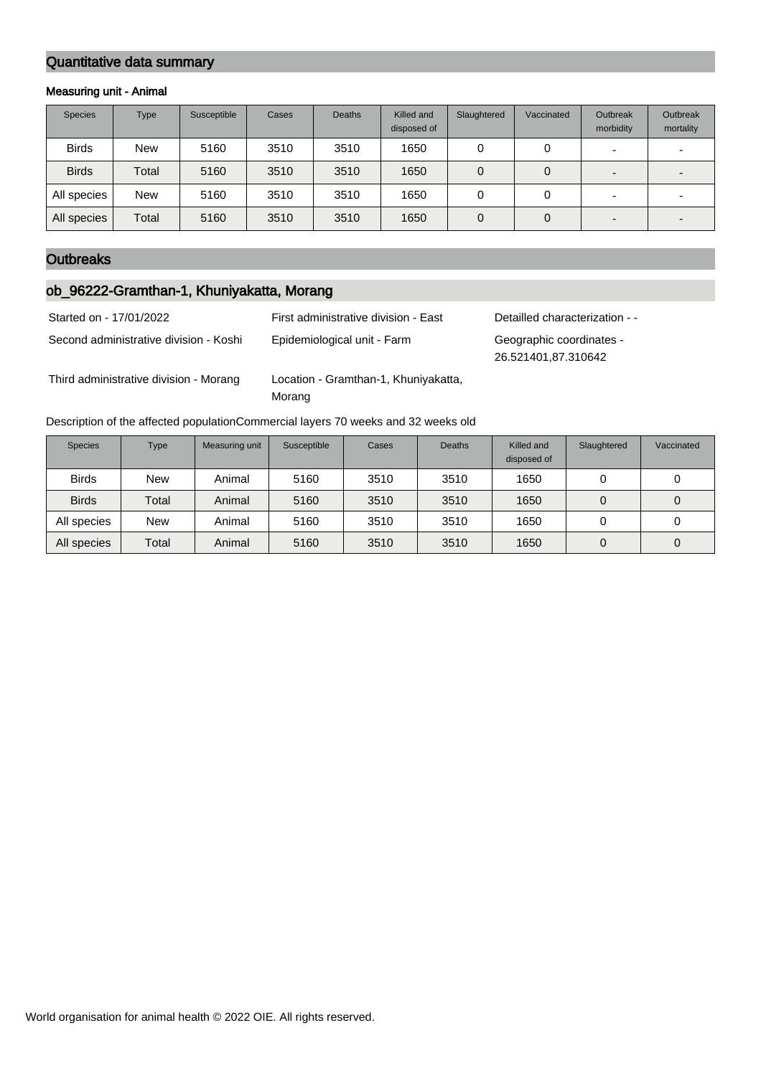## Quantitative data summary

### Measuring unit - Animal

| <b>Species</b> | Type       | Susceptible | Cases | <b>Deaths</b> | Killed and<br>disposed of | Slaughtered | Vaccinated | Outbreak<br>morbidity    | Outbreak<br>mortality |
|----------------|------------|-------------|-------|---------------|---------------------------|-------------|------------|--------------------------|-----------------------|
| <b>Birds</b>   | <b>New</b> | 5160        | 3510  | 3510          | 1650                      | 0           | 0          | $\overline{\phantom{0}}$ |                       |
| <b>Birds</b>   | Total      | 5160        | 3510  | 3510          | 1650                      | 0           | 0          | $\overline{\phantom{0}}$ |                       |
| All species    | <b>New</b> | 5160        | 3510  | 3510          | 1650                      | 0           | 0          | -                        |                       |
| All species    | Total      | 5160        | 3510  | 3510          | 1650                      | 0           | 0          | $\overline{\phantom{0}}$ |                       |

# **Outbreaks**

# ob\_96222-Gramthan-1, Khuniyakatta, Morang

| Started on - 17/01/2022                | First administrative division - East           | Detailled characterization - -                  |
|----------------------------------------|------------------------------------------------|-------------------------------------------------|
| Second administrative division - Koshi | Epidemiological unit - Farm                    | Geographic coordinates -<br>26.521401,87.310642 |
| Third administrative division - Morang | Location - Gramthan-1, Khuniyakatta,<br>Morang |                                                 |

Description of the affected populationCommercial layers 70 weeks and 32 weeks old

| <b>Species</b> | <b>Type</b> | Measuring unit | Susceptible | Cases | <b>Deaths</b> | Killed and<br>disposed of | Slaughtered | Vaccinated |
|----------------|-------------|----------------|-------------|-------|---------------|---------------------------|-------------|------------|
| <b>Birds</b>   | <b>New</b>  | Animal         | 5160        | 3510  | 3510          | 1650                      |             |            |
| <b>Birds</b>   | Total       | Animal         | 5160        | 3510  | 3510          | 1650                      | 0           |            |
| All species    | <b>New</b>  | Animal         | 5160        | 3510  | 3510          | 1650                      | 0           |            |
| All species    | Total       | Animal         | 5160        | 3510  | 3510          | 1650                      | 0           |            |